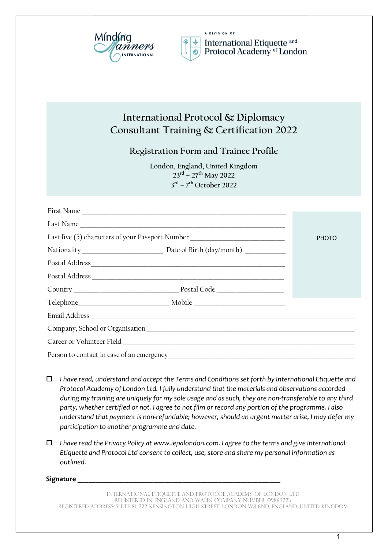



A DIVISION OF International Etiquette and Protocol Academy of London

# **International Protocol & Diplomacy Consultant Training & Certification 2022**

**Registration Form and Trainee Profile**

**London, England, United Kingdom 23rd – 27th May 2022 3rd – 7th October 2022**

|                                                                                  | Last Name |              |
|----------------------------------------------------------------------------------|-----------|--------------|
| Last five (5) characters of your Passport Number _______________________________ |           | <b>PHOTO</b> |
|                                                                                  |           |              |
|                                                                                  |           |              |
|                                                                                  |           |              |
|                                                                                  |           |              |
|                                                                                  |           |              |
|                                                                                  |           |              |
|                                                                                  |           |              |
|                                                                                  |           |              |
|                                                                                  |           |              |

- o *I have read, understand and accept the Terms and Conditions set forth by International Etiquette and Protocol Academy of London Ltd. I fully understand that the materials and observations accorded during my training are uniquely for my sole usage and as such, they are non-transferable to any third party, whether certified or not. I agree to not film or record any portion of the programme. I also understand that payment is non-refundable; however, should an urgent matter arise, I may defer my participation to another programme and date.*
- o *I have read the Privacy Policy at www.iepalondon.com. I agree to the terms and give International Etiquette and Protocol Ltd consent to collect, use, store and share my personal information as outlined.*

#### **Signature \_\_\_\_\_\_\_\_\_\_\_\_\_\_\_\_\_\_\_\_\_\_\_\_\_\_\_\_\_\_\_\_\_\_\_\_\_\_\_\_\_\_\_\_\_\_\_\_\_\_\_\_\_\_\_\_**

International etiquette and protocol academy of London LTD registered in England and Wales. Company Number: 09869223. Registered Address: Suite 81, 272 Kensington High Street, London w8 6nd, England, United Kingdom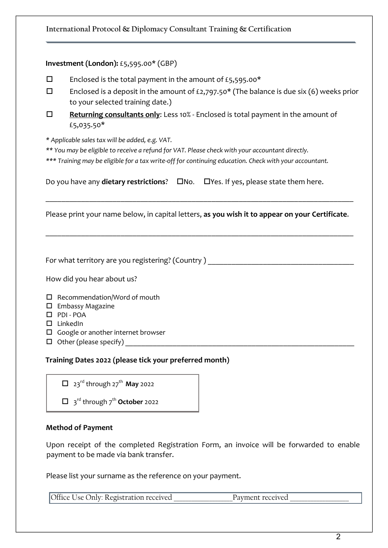# **International Protocol & Diplomacy Consultant Training & Certification**

## **Investment (London):** £5,595.00\* (GBP)

- $\square$  Enclosed is the total payment in the amount of £5,595.00\*
- $\square$  Enclosed is a deposit in the amount of £2,797.50\* (The balance is due six (6) weeks prior to your selected training date.)
- **□** Returning consultants only: Less 10% Enclosed is total payment in the amount of £5,035.50\*

*\* Applicable sales tax will be added, e.g. VAT.* 

*\*\* You may be eligible to receive a refund for VAT. Please check with your accountant directly.*

*\*\*\* Training may be eligible for a tax write-off for continuing education. Check with your accountant.*

Do you have any **dietary restrictions**?  $\Box$ No.  $\Box$ Yes. If yes, please state them here.

Please print your name below, in capital letters, **as you wish it to appear on your Certificate**.

\_\_\_\_\_\_\_\_\_\_\_\_\_\_\_\_\_\_\_\_\_\_\_\_\_\_\_\_\_\_\_\_\_\_\_\_\_\_\_\_\_\_\_\_\_\_\_\_\_\_\_\_\_\_\_\_\_\_\_\_\_\_\_\_\_\_\_\_\_\_\_\_\_\_\_\_\_\_

\_\_\_\_\_\_\_\_\_\_\_\_\_\_\_\_\_\_\_\_\_\_\_\_\_\_\_\_\_\_\_\_\_\_\_\_\_\_\_\_\_\_\_\_\_\_\_\_\_\_\_\_\_\_\_\_\_\_\_\_\_\_\_\_\_\_\_\_\_\_\_\_\_\_\_\_\_\_

For what territory are you registering? (Country)

How did you hear about us?

 $\Box$  Recommendation/Word of mouth

- $\square$  Embassy Magazine
- $\square$  PDI POA
- $\square$  LinkedIn
- $\Box$  Google or another internet browser
- o Other (please specify) \_\_\_\_\_\_\_\_\_\_\_\_\_\_\_\_\_\_\_\_\_\_\_\_\_\_\_\_\_\_\_\_\_\_\_\_\_\_\_\_\_\_\_\_\_\_\_\_\_\_\_\_\_\_\_\_\_\_

# **Training Dates 2022 (please tick your preferred month)**

 $\Box$  23<sup>rd</sup> through 27<sup>th</sup> May 2022

□ 3<sup>rd</sup> through 7<sup>th</sup> **October** 2022

#### **Method of Payment**

Upon receipt of the completed Registration Form, an invoice will be forwarded to enable payment to be made via bank transfer.

Please list your surname as the reference on your payment.

| Jse Only: Registration received | rnt received |
|---------------------------------|--------------|
|---------------------------------|--------------|